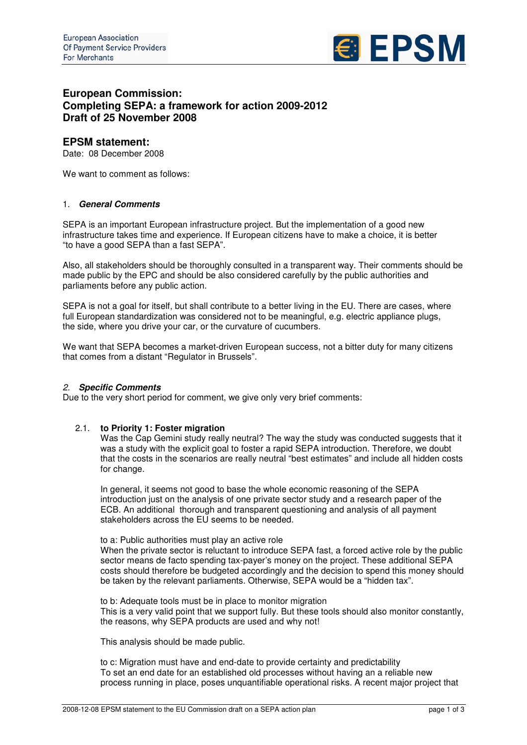

# **European Commission: Completing SEPA: a framework for action 2009-2012 Draft of 25 November 2008**

# **EPSM statement:**

Date: 08 December 2008

We want to comment as follows:

### 1. *General Comments*

SEPA is an important European infrastructure project. But the implementation of a good new infrastructure takes time and experience. If European citizens have to make a choice, it is better "to have a good SEPA than a fast SEPA".

Also, all stakeholders should be thoroughly consulted in a transparent way. Their comments should be made public by the EPC and should be also considered carefully by the public authorities and parliaments before any public action.

SEPA is not a goal for itself, but shall contribute to a better living in the EU. There are cases, where full European standardization was considered not to be meaningful, e.g. electric appliance plugs, the side, where you drive your car, or the curvature of cucumbers.

We want that SEPA becomes a market-driven European success, not a bitter duty for many citizens that comes from a distant "Regulator in Brussels".

## *2. Specific Comments*

Due to the very short period for comment, we give only very brief comments:

## 2.1. **to Priority 1: Foster migration**

Was the Cap Gemini study really neutral? The way the study was conducted suggests that it was a study with the explicit goal to foster a rapid SEPA introduction. Therefore, we doubt that the costs in the scenarios are really neutral "best estimates" and include all hidden costs for change.

In general, it seems not good to base the whole economic reasoning of the SEPA introduction just on the analysis of one private sector study and a research paper of the ECB. An additional thorough and transparent questioning and analysis of all payment stakeholders across the EU seems to be needed.

to a: Public authorities must play an active role When the private sector is reluctant to introduce SEPA fast, a forced active role by the public sector means de facto spending tax-payer's money on the project. These additional SEPA costs should therefore be budgeted accordingly and the decision to spend this money should be taken by the relevant parliaments. Otherwise, SEPA would be a "hidden tax".

to b: Adequate tools must be in place to monitor migration This is a very valid point that we support fully. But these tools should also monitor constantly, the reasons, why SEPA products are used and why not!

This analysis should be made public.

to c: Migration must have and end-date to provide certainty and predictability To set an end date for an established old processes without having an a reliable new process running in place, poses unquantifiable operational risks. A recent major project that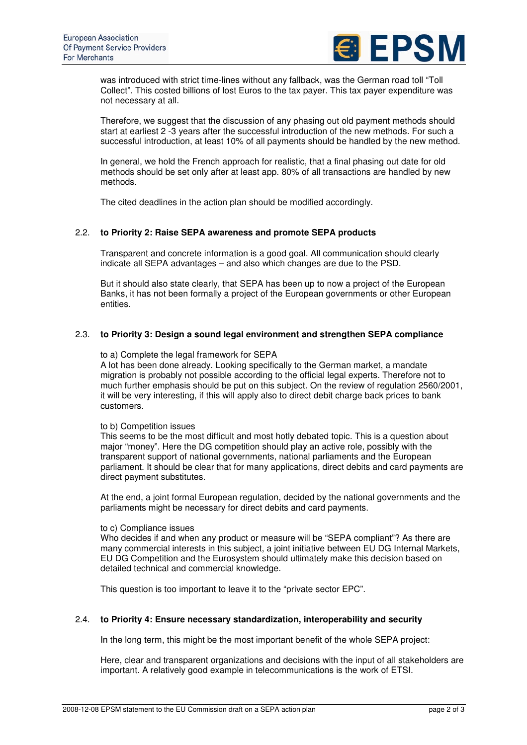

was introduced with strict time-lines without any fallback, was the German road toll "Toll Collect". This costed billions of lost Euros to the tax payer. This tax payer expenditure was not necessary at all.

Therefore, we suggest that the discussion of any phasing out old payment methods should start at earliest 2 -3 years after the successful introduction of the new methods. For such a successful introduction, at least 10% of all payments should be handled by the new method.

In general, we hold the French approach for realistic, that a final phasing out date for old methods should be set only after at least app. 80% of all transactions are handled by new methods.

The cited deadlines in the action plan should be modified accordingly.

#### 2.2. **to Priority 2: Raise SEPA awareness and promote SEPA products**

Transparent and concrete information is a good goal. All communication should clearly indicate all SEPA advantages – and also which changes are due to the PSD.

But it should also state clearly, that SEPA has been up to now a project of the European Banks, it has not been formally a project of the European governments or other European entities.

#### 2.3. **to Priority 3: Design a sound legal environment and strengthen SEPA compliance**

to a) Complete the legal framework for SEPA

A lot has been done already. Looking specifically to the German market, a mandate migration is probably not possible according to the official legal experts. Therefore not to much further emphasis should be put on this subject. On the review of regulation 2560/2001, it will be very interesting, if this will apply also to direct debit charge back prices to bank customers.

#### to b) Competition issues

This seems to be the most difficult and most hotly debated topic. This is a question about major "money". Here the DG competition should play an active role, possibly with the transparent support of national governments, national parliaments and the European parliament. It should be clear that for many applications, direct debits and card payments are direct payment substitutes.

At the end, a joint formal European regulation, decided by the national governments and the parliaments might be necessary for direct debits and card payments.

#### to c) Compliance issues

Who decides if and when any product or measure will be "SEPA compliant"? As there are many commercial interests in this subject, a joint initiative between EU DG Internal Markets, EU DG Competition and the Eurosystem should ultimately make this decision based on detailed technical and commercial knowledge.

This question is too important to leave it to the "private sector EPC".

#### 2.4. **to Priority 4: Ensure necessary standardization, interoperability and security**

In the long term, this might be the most important benefit of the whole SEPA project:

Here, clear and transparent organizations and decisions with the input of all stakeholders are important. A relatively good example in telecommunications is the work of ETSI.